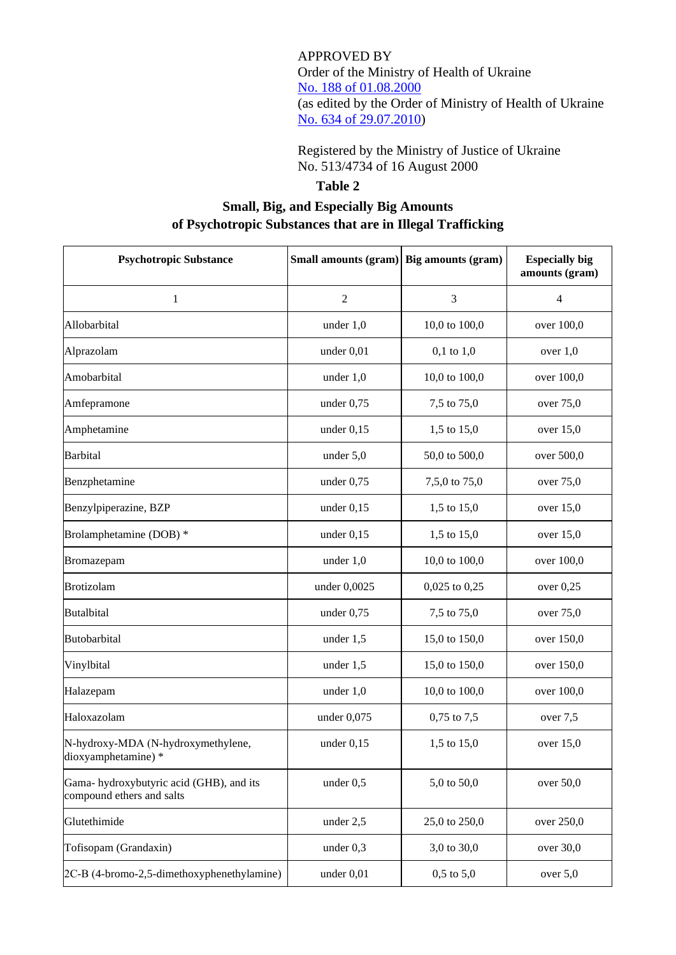APPROVED BY Order of the Ministry of Health of Ukraine No. [188 of 01.08.2000](https://cmhmda.org.ua/en/drug-related-legal-framework/order-of-ministry-of-health-188-of-01-08-2000/) (as edited by the Order of Ministry of Health of Ukraine [No. 634 of 29.07.2010\)](https://zakon.rada.gov.ua/laws/show/z0900-10)

Registered by the Ministry of Justice of Ukraine No. 513/4734 of 16 August 2000

## **Table 2**

## **Small, Big, and Especially Big Amounts of Psychotropic Substances that are in Illegal Trafficking**

| <b>Psychotropic Substance</b>                                        | Small amounts (gram) Big amounts (gram) |                   | <b>Especially big</b><br>amounts (gram) |
|----------------------------------------------------------------------|-----------------------------------------|-------------------|-----------------------------------------|
| 1                                                                    | $\sqrt{2}$                              | 3                 | $\overline{4}$                          |
| Allobarbital                                                         | under $1,0$                             | 10,0 to 100,0     | over 100,0                              |
| Alprazolam                                                           | under $0,01$                            | $0,1$ to $1,0$    | over $1,0$                              |
| Amobarbital                                                          | under $1,0$                             | 10,0 to 100,0     | over 100,0                              |
| Amfepramone                                                          | under 0,75                              | 7,5 to 75,0       | over 75,0                               |
| Amphetamine                                                          | under $0,15$                            | 1,5 to 15,0       | over $15,0$                             |
| Barbital                                                             | under 5,0                               | 50,0 to 500,0     | over 500,0                              |
| Benzphetamine                                                        | under $0,75$                            | 7,5,0 to 75,0     | over 75,0                               |
| Benzylpiperazine, BZP                                                | under $0,15$                            | 1,5 to 15,0       | over 15,0                               |
| Brolamphetamine (DOB) *                                              | under $0,15$                            | 1,5 to 15,0       | over $15,0$                             |
| Bromazepam                                                           | under $1,0$                             | 10,0 to 100,0     | over 100,0                              |
| Brotizolam                                                           | under 0,0025                            | $0,025$ to $0,25$ | over $0,25$                             |
| <b>Butalbital</b>                                                    | under $0,75$                            | 7,5 to 75,0       | over 75,0                               |
| Butobarbital                                                         | under $1,5$                             | 15,0 to 150,0     | over 150,0                              |
| Vinylbital                                                           | under $1,5$                             | 15,0 to 150,0     | over 150,0                              |
| Halazepam                                                            | under $1,0$                             | 10,0 to 100,0     | over 100,0                              |
| Haloxazolam                                                          | under $0,075$                           | $0,75$ to $7,5$   | over 7,5                                |
| N-hydroxy-MDA (N-hydroxymethylene,<br>dioxyamphetamine) *            | under $0,15$                            | 1,5 to 15,0       | over 15,0                               |
| Gama-hydroxybutyric acid (GHB), and its<br>compound ethers and salts | under $0,5$                             | 5,0 to 50,0       | over 50,0                               |
| Glutethimide                                                         | under $2,5$                             | 25,0 to 250,0     | over 250,0                              |
| Tofisopam (Grandaxin)                                                | under $0,3$                             | 3,0 to 30,0       | over 30,0                               |
| 2C-B (4-bromo-2,5-dimethoxyphenethylamine)                           | under 0,01                              | $0,5$ to $5,0$    | over $5,0$                              |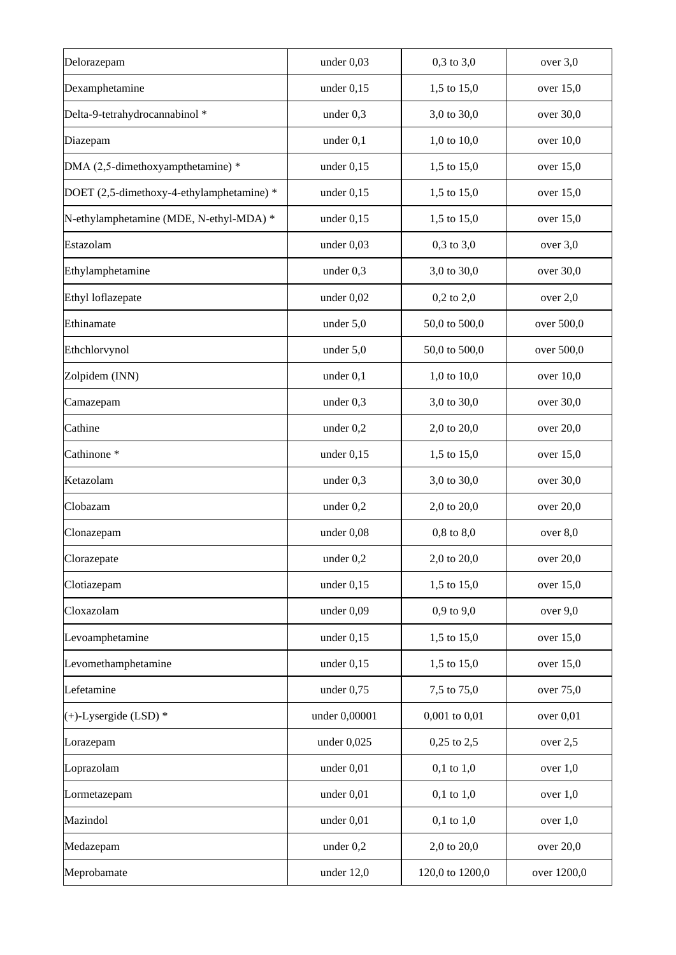| Delorazepam                               | under 0,03    | $0,3$ to $3,0$    | over 3,0    |
|-------------------------------------------|---------------|-------------------|-------------|
| Dexamphetamine                            | under $0,15$  | 1,5 to 15,0       | over $15,0$ |
| Delta-9-tetrahydrocannabinol *            | under $0,3$   | 3,0 to 30,0       | over 30,0   |
| Diazepam                                  | under $0,1$   | 1,0 to 10,0       | over 10,0   |
| DMA (2,5-dimethoxyampthetamine) *         | under $0,15$  | 1,5 to 15,0       | over 15,0   |
| DOET (2,5-dimethoxy-4-ethylamphetamine) * | under $0,15$  | 1,5 to 15,0       | over $15,0$ |
| N-ethylamphetamine (MDE, N-ethyl-MDA) *   | under $0,15$  | 1,5 to 15,0       | over $15,0$ |
| Estazolam                                 | under $0,03$  | $0,3$ to $3,0$    | over $3,0$  |
| Ethylamphetamine                          | under $0,3$   | 3,0 to 30,0       | over 30,0   |
| Ethyl loflazepate                         | under $0,02$  | $0,2$ to $2,0$    | over $2,0$  |
| Ethinamate                                | under $5,0$   | 50,0 to 500,0     | over 500,0  |
| Ethchlorvynol                             | under 5,0     | 50,0 to 500,0     | over 500,0  |
| Zolpidem (INN)                            | under $0,1$   | 1,0 to $10,0$     | over $10,0$ |
| Camazepam                                 | under $0,3$   | 3,0 to 30,0       | over 30,0   |
| Cathine                                   | under $0,2$   | 2,0 to 20,0       | over 20,0   |
| Cathinone <sup>*</sup>                    | under $0,15$  | 1,5 to 15,0       | over $15,0$ |
| Ketazolam                                 | under $0,3$   | 3,0 to 30,0       | over 30,0   |
| Clobazam                                  | under $0,2$   | 2,0 to 20,0       | over 20,0   |
| Clonazepam                                | under $0,08$  | $0,8$ to $8,0$    | over 8,0    |
| Clorazepate                               | under $0,2$   | 2,0 to 20,0       | over 20,0   |
| Clotiazepam                               | under $0,15$  | 1,5 to 15,0       | over 15,0   |
| Cloxazolam                                | under $0,09$  | $0,9$ to $9,0$    | over 9,0    |
| Levoamphetamine                           | under $0,15$  | 1,5 to 15,0       | over 15,0   |
| Levomethamphetamine                       | under $0,15$  | 1,5 to 15,0       | over 15,0   |
| Lefetamine                                | under $0,75$  | 7,5 to 75,0       | over 75,0   |
| $(+)$ -Lysergide (LSD) *                  | under 0,00001 | $0,001$ to $0,01$ | over 0,01   |
| Lorazepam                                 | under $0,025$ | $0,25$ to $2,5$   | over 2,5    |
| Loprazolam                                | under 0,01    | $0,1$ to $1,0$    | over $1,0$  |
| Lormetazepam                              | under 0,01    | $0,1$ to $1,0$    | over $1,0$  |
| Mazindol                                  | under 0,01    | $0,1$ to $1,0$    | over $1,0$  |
| Medazepam                                 | under 0,2     | 2,0 to 20,0       | over 20,0   |
| Meprobamate                               | under $12,0$  | 120,0 to 1200,0   | over 1200,0 |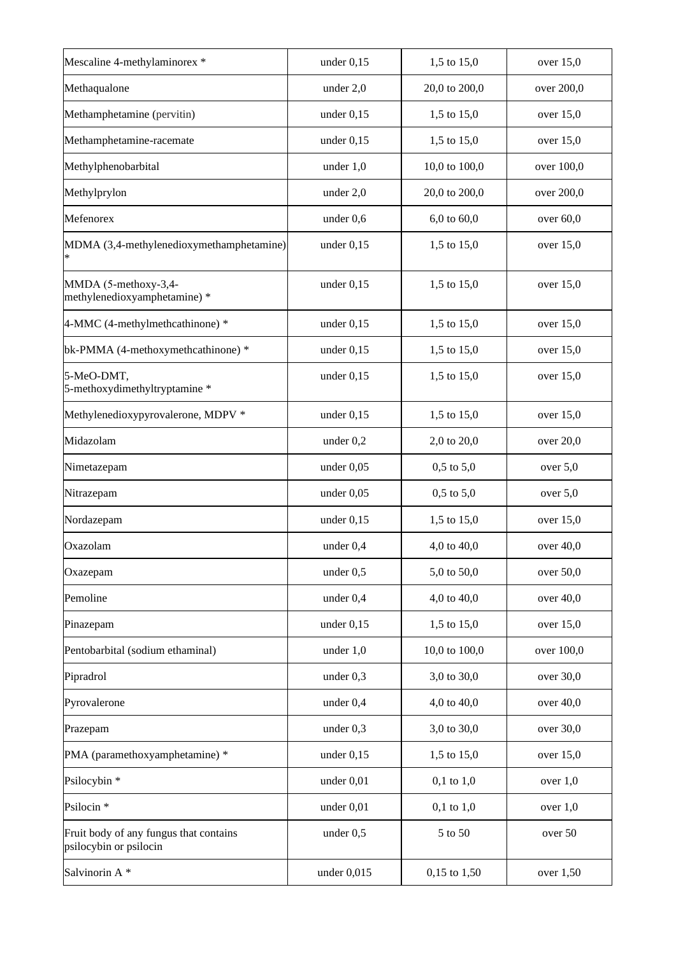| Mescaline 4-methylaminorex *                                     | under $0,15$  | 1,5 to 15,0      | over $15,0$ |
|------------------------------------------------------------------|---------------|------------------|-------------|
| Methaqualone                                                     | under 2,0     | 20,0 to 200,0    | over 200,0  |
| Methamphetamine (pervitin)                                       | under $0,15$  | 1,5 to 15,0      | over 15,0   |
| Methamphetamine-racemate                                         | under $0,15$  | 1,5 to 15,0      | over $15,0$ |
| Methylphenobarbital                                              | under $1,0$   | 10,0 to 100,0    | over 100,0  |
| Methylprylon                                                     | under $2,0$   | 20,0 to 200,0    | over 200,0  |
| Mefenorex                                                        | under $0,6$   | $6,0$ to $60,0$  | over $60,0$ |
| MDMA (3,4-methylenedioxymethamphetamine)                         | under $0,15$  | 1,5 to 15,0      | over $15,0$ |
| MMDA (5-methoxy-3,4-<br>methylenedioxyamphetamine) *             | under $0,15$  | 1,5 to 15,0      | over $15,0$ |
| 4-MMC (4-methylmethcathinone) *                                  | under $0,15$  | 1,5 to 15,0      | over $15,0$ |
| bk-PMMA (4-methoxymethcathinone) *                               | under $0,15$  | 1,5 to 15,0      | over $15,0$ |
| 5-MeO-DMT,<br>5-methoxydimethyltryptamine *                      | under $0,15$  | 1,5 to 15,0      | over 15,0   |
| Methylenedioxypyrovalerone, MDPV *                               | under $0,15$  | 1,5 to 15,0      | over $15,0$ |
| Midazolam                                                        | under $0,2$   | 2,0 to 20,0      | over 20,0   |
| Nimetazepam                                                      | under $0,05$  | $0,5$ to $5,0$   | over $5,0$  |
| Nitrazepam                                                       | under $0,05$  | $0,5$ to $5,0$   | over $5,0$  |
| Nordazepam                                                       | under $0,15$  | 1,5 to 15,0      | over $15,0$ |
| Oxazolam                                                         | under $0,4$   | 4,0 to 40,0      | over $40,0$ |
| Oxazepam                                                         | under 0,5     | 5,0 to 50,0      | over 50,0   |
| Pemoline                                                         | under 0,4     | 4,0 to 40,0      | over 40,0   |
| Pinazepam                                                        | under $0,15$  | 1,5 to 15,0      | over 15,0   |
| Pentobarbital (sodium ethaminal)                                 | under $1,0$   | 10,0 to 100,0    | over 100,0  |
| Pipradrol                                                        | under $0,3$   | 3,0 to 30,0      | over 30,0   |
| Pyrovalerone                                                     | under $0,4$   | 4,0 to 40,0      | over $40,0$ |
| Prazepam                                                         | under $0,3$   | 3,0 to 30,0      | over 30,0   |
| PMA (paramethoxyamphetamine) *                                   | under $0,15$  | 1,5 to 15,0      | over $15,0$ |
| Psilocybin *                                                     | under $0,01$  | $0,1$ to $1,0$   | over $1,0$  |
| Psilocin <sup>*</sup>                                            | under 0,01    | $0,1$ to $1,0$   | over $1,0$  |
| Fruit body of any fungus that contains<br>psilocybin or psilocin | under $0,5$   | 5 to 50          | over 50     |
| Salvinorin A*                                                    | under $0,015$ | $0,15$ to $1,50$ | over 1,50   |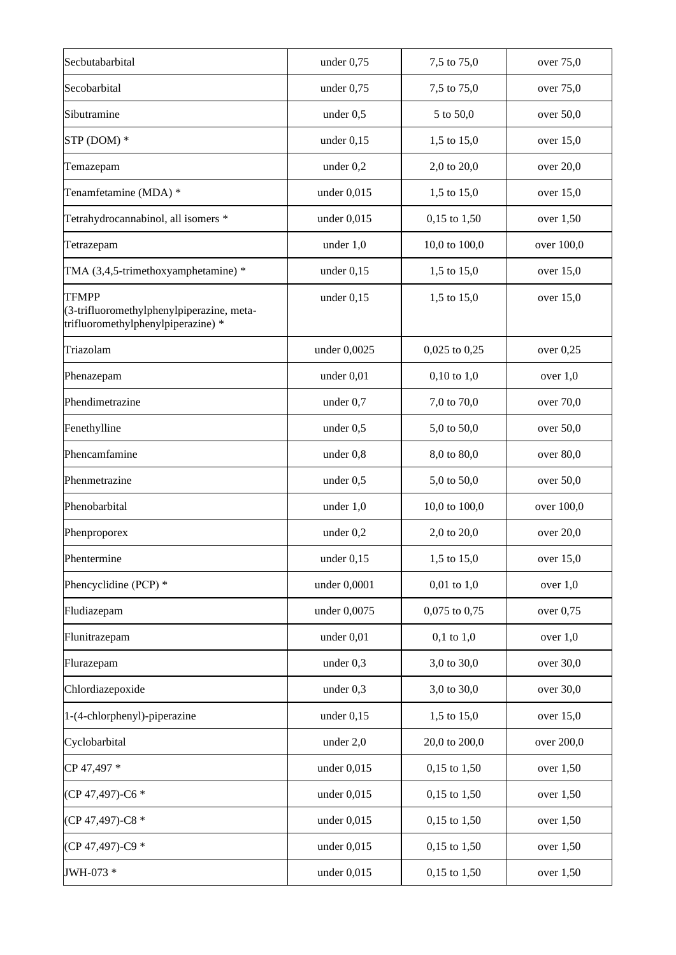| Secbutabarbital                                                                                 | under $0,75$  | 7,5 to 75,0       | over 75,0   |
|-------------------------------------------------------------------------------------------------|---------------|-------------------|-------------|
| Secobarbital                                                                                    | under 0,75    | 7,5 to 75,0       | over 75,0   |
| Sibutramine                                                                                     | under $0,5$   | 5 to 50,0         | over 50,0   |
| STP (DOM) *                                                                                     | under $0,15$  | 1,5 to 15,0       | over $15,0$ |
| Temazepam                                                                                       | under 0,2     | 2,0 to 20,0       | over 20,0   |
| Tenamfetamine (MDA) *                                                                           | under $0,015$ | 1,5 to 15,0       | over $15,0$ |
| Tetrahydrocannabinol, all isomers *                                                             | under $0,015$ | $0,15$ to $1,50$  | over 1,50   |
| Tetrazepam                                                                                      | under $1,0$   | 10,0 to 100,0     | over 100,0  |
| TMA (3,4,5-trimethoxyamphetamine) *                                                             | under $0,15$  | 1,5 to 15,0       | over $15,0$ |
| <b>TFMPP</b><br>(3-trifluoromethylphenylpiperazine, meta-<br>trifluoromethylphenylpiperazine) * | under $0,15$  | 1,5 to 15,0       | over $15,0$ |
| Triazolam                                                                                       | under 0,0025  | $0,025$ to $0,25$ | over 0,25   |
| Phenazepam                                                                                      | under $0,01$  | $0,10$ to $1,0$   | over $1,0$  |
| Phendimetrazine                                                                                 | under $0,7$   | 7,0 to 70,0       | over 70,0   |
| Fenethylline                                                                                    | under $0,5$   | 5,0 to 50,0       | over 50,0   |
| Phencamfamine                                                                                   | under $0,8$   | 8,0 to 80,0       | over 80,0   |
| Phenmetrazine                                                                                   | under $0,5$   | 5,0 to 50,0       | over 50,0   |
| Phenobarbital                                                                                   | under 1,0     | 10,0 to 100,0     | over 100,0  |
| Phenproporex                                                                                    | under $0,2$   | 2,0 to 20,0       | over 20,0   |
| Phentermine                                                                                     | under $0,15$  | 1,5 to 15,0       | over 15,0   |
| Phencyclidine (PCP) *                                                                           | under 0,0001  | $0,01$ to $1,0$   | over $1,0$  |
| Fludiazepam                                                                                     | under 0,0075  | $0,075$ to $0,75$ | over 0,75   |
| Flunitrazepam                                                                                   | under 0,01    | $0,1$ to $1,0$    | over $1,0$  |
| Flurazepam                                                                                      | under $0,3$   | 3,0 to 30,0       | over 30,0   |
| Chlordiazepoxide                                                                                | under $0,3$   | 3,0 to 30,0       | over 30,0   |
| 1-(4-chlorphenyl)-piperazine                                                                    | under $0,15$  | 1,5 to 15,0       | over $15,0$ |
| Cyclobarbital                                                                                   | under 2,0     | 20,0 to 200,0     | over 200,0  |
| CP 47,497 *                                                                                     | under $0,015$ | $0,15$ to $1,50$  | over $1,50$ |
| (CP 47,497)-C6 *                                                                                | under $0,015$ | $0,15$ to $1,50$  | over $1,50$ |
| (CP 47,497)-C8 *                                                                                | under $0,015$ | $0,15$ to $1,50$  | over $1,50$ |
| (CP 47,497)-C9 *                                                                                | under $0,015$ | $0,15$ to $1,50$  | over $1,50$ |
| JWH-073 *                                                                                       | under $0,015$ | $0,15$ to $1,50$  | over $1,50$ |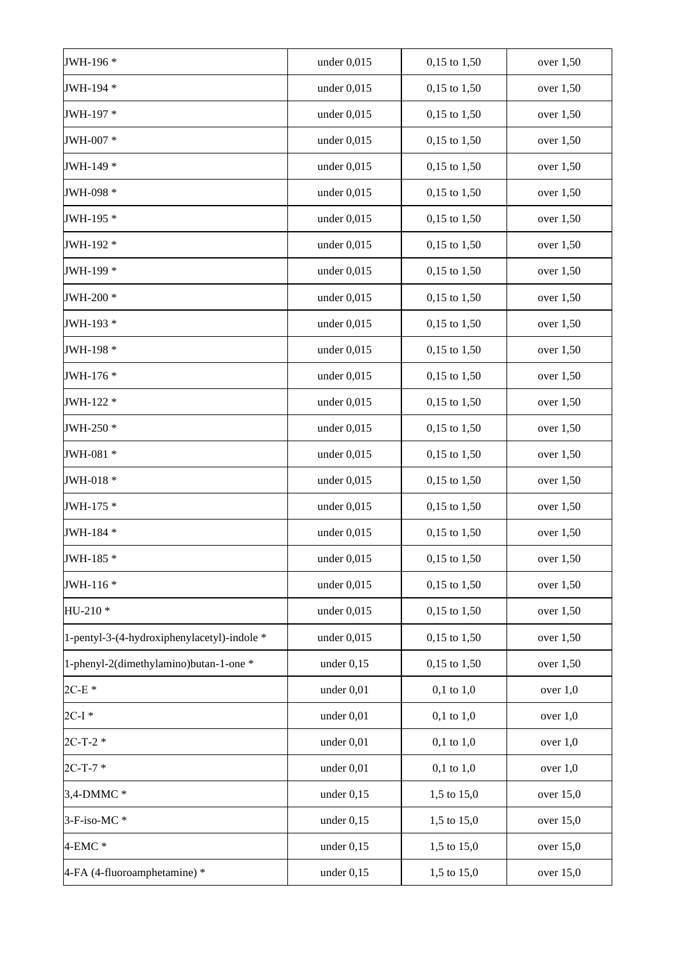| JWH-196 *                                   | under $0,015$ | $0,15$ to $1,50$ | over $1,50$ |
|---------------------------------------------|---------------|------------------|-------------|
| JWH-194 *                                   | under $0,015$ | $0,15$ to $1,50$ | over $1,50$ |
| JWH-197 *                                   | under $0,015$ | $0,15$ to $1,50$ | over 1,50   |
| JWH-007 *                                   | under $0,015$ | $0,15$ to $1,50$ | over $1,50$ |
| JWH-149 *                                   | under $0,015$ | $0,15$ to $1,50$ | over 1,50   |
| JWH-098 *                                   | under $0,015$ | $0,15$ to $1,50$ | over 1,50   |
| JWH-195 *                                   | under $0,015$ | $0,15$ to $1,50$ | over $1,50$ |
| JWH-192 *                                   | under $0,015$ | $0,15$ to $1,50$ | over $1,50$ |
| JWH-199 *                                   | under $0,015$ | $0,15$ to $1,50$ | over $1,50$ |
| JWH-200 *                                   | under $0,015$ | $0,15$ to $1,50$ | over $1,50$ |
| JWH-193 *                                   | under $0,015$ | $0,15$ to $1,50$ | over $1,50$ |
| JWH-198 *                                   | under $0,015$ | $0,15$ to $1,50$ | over $1,50$ |
| JWH-176 *                                   | under $0,015$ | $0,15$ to $1,50$ | over $1,50$ |
| JWH-122 *                                   | under $0,015$ | $0,15$ to $1,50$ | over $1,50$ |
| JWH-250 *                                   | under $0,015$ | $0,15$ to $1,50$ | over $1,50$ |
| JWH-081 *                                   | under $0,015$ | $0,15$ to $1,50$ | over $1,50$ |
| JWH-018 *                                   | under $0,015$ | $0,15$ to $1,50$ | over $1,50$ |
| JWH-175 *                                   | under $0,015$ | $0,15$ to $1,50$ | over $1,50$ |
| JWH-184 *                                   | under $0,015$ | $0,15$ to $1,50$ | over $1,50$ |
| JWH-185 *                                   | under $0,015$ | $0,15$ to $1,50$ | over 1,50   |
| JWH-116*                                    | under $0,015$ | $0,15$ to $1,50$ | over 1,50   |
| HU-210*                                     | under $0,015$ | $0,15$ to $1,50$ | over 1,50   |
| 1-pentyl-3-(4-hydroxiphenylacetyl)-indole * | under $0,015$ | $0,15$ to $1,50$ | over $1,50$ |
| 1-phenyl-2(dimethylamino)butan-1-one *      | under $0,15$  | $0,15$ to $1,50$ | over 1,50   |
| $2C-E*$                                     | under $0,01$  | $0,1$ to $1,0$   | over $1,0$  |
| $2C-I$ *                                    | under $0,01$  | $0,1$ to $1,0$   | over $1,0$  |
| $2C-T-2$ *                                  | under 0,01    | $0,1$ to $1,0$   | over $1,0$  |
| $2C-T-7*$                                   | under 0,01    | $0,1$ to $1,0$   | over $1,0$  |
| 3,4-DMMC *                                  | under $0,15$  | 1,5 to 15,0      | over $15,0$ |
| 3-F-iso-MC*                                 | under $0,15$  | 1,5 to 15,0      | over $15,0$ |
| $4$ -EMC $*$                                | under $0,15$  | 1,5 to 15,0      | over $15,0$ |
| 4-FA (4-fluoroamphetamine) *                | under $0,15$  | 1,5 to 15,0      | over $15,0$ |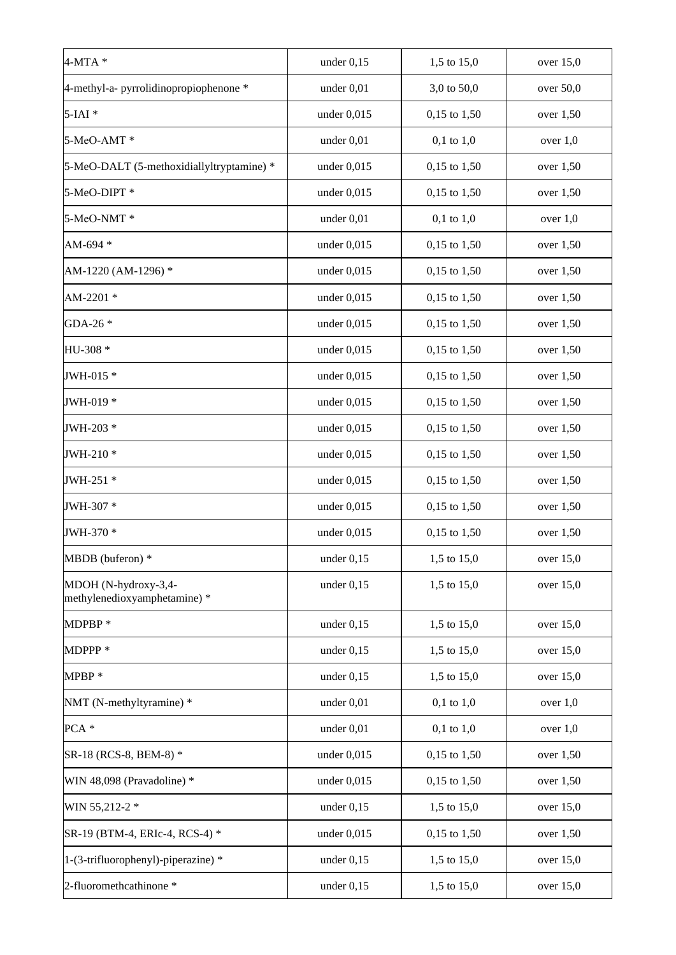| $4-MTA*$                                             | under $0,15$  | 1,5 to 15,0      | over $15,0$ |
|------------------------------------------------------|---------------|------------------|-------------|
| 4-methyl-a- pyrrolidinopropiophenone *               | under $0,01$  | 3,0 to 50,0      | over 50,0   |
| $5$ -IAI $*$                                         | under $0,015$ | 0,15 to 1,50     | over $1,50$ |
| 5-MeO-AMT*                                           | under 0,01    | $0,1$ to $1,0$   | over $1,0$  |
| 5-MeO-DALT (5-methoxidiallyltryptamine) *            | under $0,015$ | $0,15$ to $1,50$ | over $1,50$ |
| 5-MeO-DIPT *                                         | under $0,015$ | 0,15 to 1,50     | over $1,50$ |
| 5-MeO-NMT*                                           | under $0,01$  | $0,1$ to $1,0$   | over $1,0$  |
| AM-694 *                                             | under $0,015$ | $0,15$ to $1,50$ | over $1,50$ |
| AM-1220 (AM-1296) *                                  | under $0,015$ | $0,15$ to $1,50$ | over $1,50$ |
| AM-2201*                                             | under $0,015$ | $0,15$ to $1,50$ | over $1,50$ |
| GDA-26 *                                             | under $0,015$ | $0,15$ to $1,50$ | over $1,50$ |
| HU-308 *                                             | under $0,015$ | $0,15$ to $1,50$ | over $1,50$ |
| JWH-015 *                                            | under $0,015$ | $0,15$ to $1,50$ | over $1,50$ |
| JWH-019 *                                            | under $0,015$ | $0,15$ to $1,50$ | over $1,50$ |
| JWH-203 *                                            | under $0,015$ | $0,15$ to $1,50$ | over $1,50$ |
| JWH-210 *                                            | under $0,015$ | $0,15$ to $1,50$ | over $1,50$ |
| JWH-251 *                                            | under $0,015$ | $0,15$ to $1,50$ | over $1,50$ |
| JWH-307 *                                            | under $0,015$ | $0,15$ to $1,50$ | over $1,50$ |
| JWH-370 *                                            | under $0,015$ | $0,15$ to $1,50$ | over 1,50   |
| MBDB (buferon) *                                     | under $0,15$  | 1,5 to 15,0      | over $15,0$ |
| MDOH (N-hydroxy-3,4-<br>methylenedioxyamphetamine) * | under $0,15$  | 1,5 to 15,0      | over 15,0   |
| MDPBP*                                               | under $0,15$  | 1,5 to 15,0      | over $15,0$ |
| MDPPP <sup>*</sup>                                   | under $0,15$  | 1,5 to 15,0      | over $15,0$ |
| MPBP*                                                | under $0,15$  | 1,5 to 15,0      | over $15,0$ |
| NMT (N-methyltyramine) *                             | under $0,01$  | $0,1$ to $1,0$   | over $1,0$  |
| PCA *                                                | under $0,01$  | $0,1$ to $1,0$   | over $1,0$  |
| SR-18 (RCS-8, BEM-8) *                               | under $0,015$ | $0,15$ to $1,50$ | over $1,50$ |
| WIN 48,098 (Pravadoline) *                           | under $0,015$ | $0,15$ to $1,50$ | over $1,50$ |
| WIN 55,212-2 *                                       | under $0,15$  | 1,5 to 15,0      | over 15,0   |
| SR-19 (BTM-4, ERIc-4, RCS-4) *                       | under $0,015$ | $0,15$ to $1,50$ | over $1,50$ |
| 1-(3-trifluorophenyl)-piperazine) *                  | under $0,15$  | 1,5 to 15,0      | over $15,0$ |
| 2-fluoromethcathinone *                              | under $0,15$  | 1,5 to 15,0      | over $15,0$ |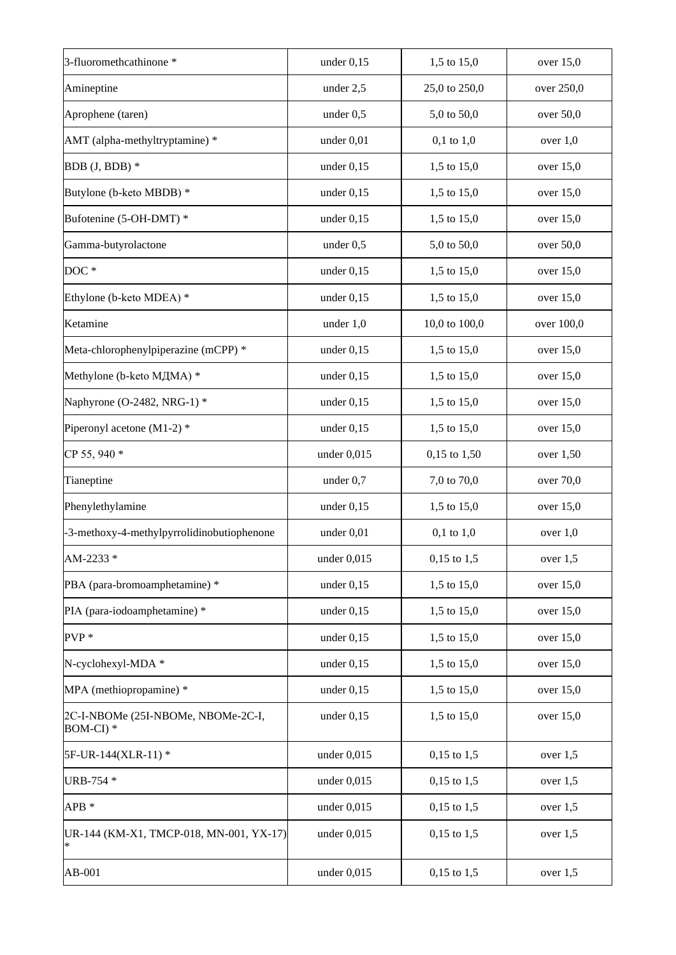| 3-fluoromethcathinone *                         | under $0,15$  | 1,5 to 15,0     | over 15,0   |
|-------------------------------------------------|---------------|-----------------|-------------|
| Amineptine                                      | under 2,5     | 25,0 to 250,0   | over 250,0  |
| Aprophene (taren)                               | under 0,5     | 5,0 to 50,0     | over 50,0   |
| AMT (alpha-methyltryptamine) *                  | under 0,01    | $0,1$ to $1,0$  | over $1,0$  |
| BDB (J, BDB) *                                  | under $0,15$  | 1,5 to 15,0     | over $15,0$ |
| Butylone (b-keto MBDB) *                        | under $0,15$  | 1,5 to 15,0     | over $15,0$ |
| Bufotenine (5-OH-DMT) *                         | under $0,15$  | 1,5 to 15,0     | over $15,0$ |
| Gamma-butyrolactone                             | under 0,5     | 5,0 to 50,0     | over 50,0   |
| DOC <sup>*</sup>                                | under $0,15$  | 1,5 to 15,0     | over $15,0$ |
| Ethylone (b-keto MDEA) *                        | under $0,15$  | 1,5 to 15,0     | over $15,0$ |
| Ketamine                                        | under $1,0$   | 10,0 to 100,0   | over 100,0  |
| Meta-chlorophenylpiperazine (mCPP) *            | under $0,15$  | 1,5 to 15,0     | over $15,0$ |
| Methylone (b-keto МДМА) *                       | under $0,15$  | 1,5 to 15,0     | over $15,0$ |
| Naphyrone (O-2482, NRG-1) *                     | under $0,15$  | 1,5 to 15,0     | over $15,0$ |
| Piperonyl acetone (M1-2) *                      | under $0,15$  | 1,5 to 15,0     | over $15,0$ |
| CP 55, 940 *                                    | under $0,015$ | 0,15 to 1,50    | over $1,50$ |
| Tianeptine                                      | under $0,7$   | 7,0 to 70,0     | over 70,0   |
| Phenylethylamine                                | under $0,15$  | 1,5 to 15,0     | over 15,0   |
| -3-methoxy-4-methylpyrrolidinobutiophenone      | under $0,01$  | $0,1$ to $1,0$  | over $1,0$  |
| AM-2233 *                                       | under $0,015$ | $0,15$ to $1,5$ | over $1,5$  |
| PBA (para-bromoamphetamine) *                   | under $0,15$  | 1,5 to 15,0     | over 15,0   |
| PIA (para-iodoamphetamine) *                    | under $0,15$  | 1,5 to 15,0     | over $15,0$ |
| $PVP*$                                          | under $0,15$  | 1,5 to 15,0     | over $15,0$ |
| N-cyclohexyl-MDA *                              | under $0,15$  | 1,5 to 15,0     | over $15,0$ |
| MPA (methiopropamine) *                         | under $0,15$  | 1,5 to 15,0     | over $15,0$ |
| 2C-I-NBOMe (25I-NBOMe, NBOMe-2C-I,<br>BOM-CI) * | under $0,15$  | 1,5 to 15,0     | over $15,0$ |
| 5F-UR-144(XLR-11) *                             | under $0,015$ | $0,15$ to 1,5   | over $1,5$  |
| URB-754 *                                       | under $0,015$ | $0,15$ to 1,5   | over $1,5$  |
| $APB*$                                          | under $0,015$ | $0,15$ to 1,5   | over $1,5$  |
| UR-144 (KM-X1, TMCP-018, MN-001, YX-17)         | under $0,015$ | $0,15$ to 1,5   | over $1,5$  |
| AB-001                                          | under $0,015$ | $0,15$ to 1,5   | over $1,5$  |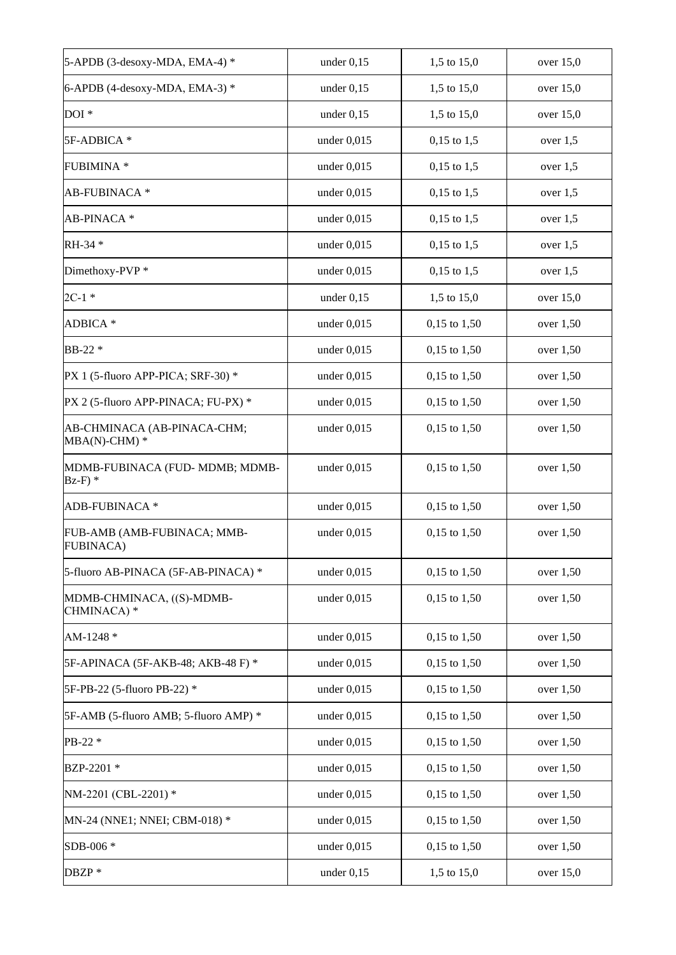| 5-APDB (3-desoxy-MDA, EMA-4) *                    | under $0,15$  | 1,5 to 15,0      | over $15,0$ |
|---------------------------------------------------|---------------|------------------|-------------|
| 6-APDB (4-desoxy-MDA, EMA-3)*                     | under $0,15$  | 1,5 to 15,0      | over $15,0$ |
| DOI <sup>*</sup>                                  | under $0,15$  | 1,5 to 15,0      | over $15,0$ |
| 5F-ADBICA *                                       | under $0,015$ | $0,15$ to 1,5    | over $1,5$  |
| <b>FUBIMINA*</b>                                  | under $0,015$ | $0,15$ to 1,5    | over $1,5$  |
| AB-FUBINACA *                                     | under $0,015$ | $0,15$ to 1,5    | over $1,5$  |
| AB-PINACA*                                        | under $0,015$ | $0,15$ to 1,5    | over $1,5$  |
| RH-34 *                                           | under $0,015$ | $0,15$ to 1,5    | over $1,5$  |
| Dimethoxy-PVP*                                    | under $0,015$ | $0,15$ to 1,5    | over $1,5$  |
| $2C-1$ *                                          | under $0,15$  | 1,5 to 15,0      | over $15,0$ |
| ADBICA *                                          | under $0.015$ | $0,15$ to $1,50$ | over $1,50$ |
| BB-22 *                                           | under $0,015$ | $0,15$ to $1,50$ | over $1,50$ |
| PX 1 (5-fluoro APP-PICA; SRF-30) *                | under $0,015$ | 0,15 to 1,50     | over 1,50   |
| PX 2 (5-fluoro APP-PINACA; FU-PX) *               | under $0,015$ | $0,15$ to $1,50$ | over $1,50$ |
| AB-CHMINACA (AB-PINACA-CHM;<br>$MBA(N)$ -CHM) $*$ | under $0,015$ | $0,15$ to $1,50$ | over 1,50   |
| MDMB-FUBINACA (FUD-MDMB; MDMB-<br>$Bz-F$ ) *      | under $0,015$ | $0,15$ to $1,50$ | over 1,50   |
| ADB-FUBINACA *                                    | under $0,015$ | 0,15 to 1,50     | over $1,50$ |
| FUB-AMB (AMB-FUBINACA; MMB-<br><b>FUBINACA)</b>   | under $0,015$ | $0,15$ to $1,50$ | over 1,50   |
| 5-fluoro AB-PINACA (5F-AB-PINACA) *               | under $0,015$ | 0,15 to 1,50     | over 1,50   |
| MDMB-CHMINACA, ((S)-MDMB-<br>CHMINACA) *          | under $0,015$ | $0,15$ to $1,50$ | over $1,50$ |
| AM-1248 *                                         | under 0,015   | $0,15$ to $1,50$ | over 1,50   |
| 5F-APINACA (5F-AKB-48; AKB-48 F) *                | under $0,015$ | $0,15$ to $1,50$ | over 1,50   |
| 5F-PB-22 (5-fluoro PB-22) *                       | under $0,015$ | $0,15$ to $1,50$ | over 1,50   |
| 5F-AMB (5-fluoro AMB; 5-fluoro AMP) *             | under $0,015$ | $0,15$ to $1,50$ | over $1,50$ |
| PB-22 *                                           | under $0,015$ | $0,15$ to $1,50$ | over $1,50$ |
| BZP-2201 *                                        | under $0,015$ | $0,15$ to $1,50$ | over $1,50$ |
| NM-2201 (CBL-2201) *                              | under $0,015$ | $0,15$ to $1,50$ | over $1,50$ |
| MN-24 (NNE1; NNEI; CBM-018) *                     | under $0,015$ | $0,15$ to $1,50$ | over $1,50$ |
| SDB-006 *                                         | under $0,015$ | $0,15$ to $1,50$ | over $1,50$ |
| DBZP *                                            | under $0,15$  | 1,5 to 15,0      | over $15,0$ |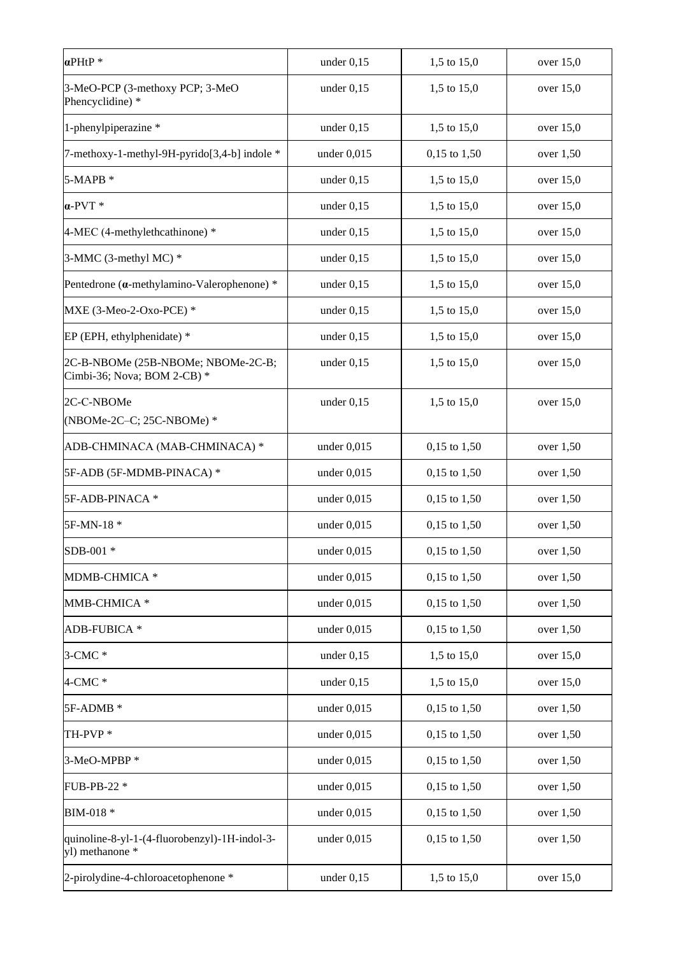| $\alpha$ PHtP <sup>*</sup>                                        | under $0,15$  | 1,5 to 15,0      | over $15,0$ |
|-------------------------------------------------------------------|---------------|------------------|-------------|
| 3-MeO-PCP (3-methoxy PCP; 3-MeO<br>Phencyclidine) *               | under $0,15$  | 1,5 to 15,0      | over $15,0$ |
| 1-phenylpiperazine *                                              | under $0,15$  | 1,5 to 15,0      | over 15,0   |
| 7-methoxy-1-methyl-9H-pyrido[3,4-b] indole *                      | under $0,015$ | 0,15 to 1,50     | over 1,50   |
| 5-MAPB *                                                          | under $0,15$  | 1,5 to 15,0      | over 15,0   |
| $\alpha$ -PVT *                                                   | under $0,15$  | 1,5 to 15,0      | over $15,0$ |
| 4-MEC (4-methylethcathinone) *                                    | under $0,15$  | 1,5 to 15,0      | over $15,0$ |
| 3-MMC (3-methyl MC) *                                             | under $0,15$  | 1,5 to 15,0      | over $15,0$ |
| Pentedrone (a-methylamino-Valerophenone) *                        | under $0,15$  | 1,5 to 15,0      | over $15,0$ |
| MXE (3-Meo-2-Oxo-PCE) *                                           | under $0,15$  | 1,5 to 15,0      | over $15,0$ |
| EP (EPH, ethylphenidate) *                                        | under $0,15$  | 1,5 to 15,0      | over $15,0$ |
| 2C-B-NBOMe (25B-NBOMe; NBOMe-2C-B;<br>Cimbi-36; Nova; BOM 2-CB) * | under $0,15$  | 1,5 to 15,0      | over $15,0$ |
| 2C-C-NBOMe<br>(NBOMe-2C-C; 25C-NBOMe) $*$                         | under $0,15$  | 1,5 to 15,0      | over $15,0$ |
| ADB-CHMINACA (MAB-CHMINACA) *                                     | under $0,015$ | 0,15 to 1,50     | over $1,50$ |
| 5F-ADB (5F-MDMB-PINACA) *                                         | under $0,015$ | $0,15$ to $1,50$ | over $1,50$ |
| 5F-ADB-PINACA *                                                   | under $0,015$ | $0,15$ to $1,50$ | over $1,50$ |
| 5F-MN-18 *                                                        | under $0,015$ | $0,15$ to $1,50$ | over $1,50$ |
| SDB-001 *                                                         | under $0,015$ | $0,15$ to $1,50$ | over $1,50$ |
| MDMB-CHMICA *                                                     | under $0,015$ | $0,15$ to $1,50$ | over 1,50   |
| MMB-CHMICA*                                                       | under $0,015$ | $0,15$ to $1,50$ | over $1,50$ |
| ADB-FUBICA *                                                      | under $0,015$ | $0,15$ to $1,50$ | over $1,50$ |
| $3$ -CMC $*$                                                      | under $0,15$  | 1,5 to 15,0      | over $15,0$ |
| $4$ -CMC $*$                                                      | under $0,15$  | 1,5 to 15,0      | over $15,0$ |
| 5F-ADMB *                                                         | under $0,015$ | $0,15$ to $1,50$ | over 1,50   |
| TH-PVP*                                                           | under $0,015$ | 0,15 to 1,50     | over 1,50   |
| 3-MeO-MPBP*                                                       | under 0,015   | 0,15 to 1,50     | over 1,50   |
| FUB-PB-22 *                                                       | under $0,015$ | 0,15 to 1,50     | over 1,50   |
| BIM-018 *                                                         | under 0,015   | 0,15 to 1,50     | over 1,50   |
| quinoline-8-yl-1-(4-fluorobenzyl)-1H-indol-3-<br>yl) methanone *  | under $0,015$ | $0,15$ to $1,50$ | over 1,50   |
| 2-pirolydine-4-chloroacetophenone *                               | under $0,15$  | 1,5 to 15,0      | over $15,0$ |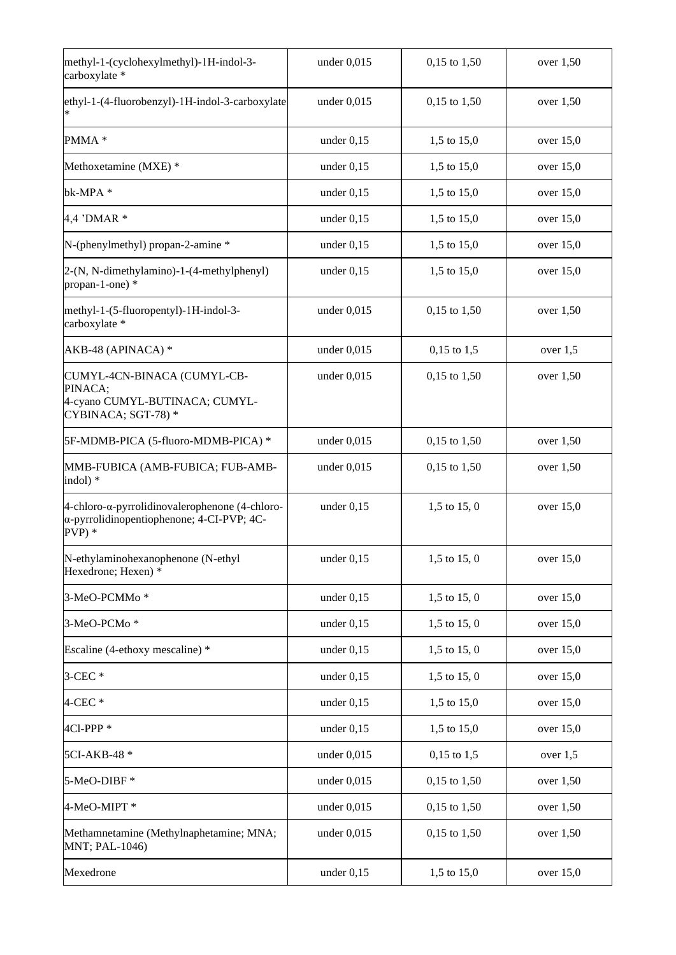| methyl-1-(cyclohexylmethyl)-1H-indol-3-<br>carboxylate *                                                    | under $0,015$ | 0,15 to 1,50     | over 1,50   |
|-------------------------------------------------------------------------------------------------------------|---------------|------------------|-------------|
| ethyl-1-(4-fluorobenzyl)-1H-indol-3-carboxylate                                                             | under $0,015$ | 0,15 to 1,50     | over 1,50   |
| PMMA *                                                                                                      | under $0,15$  | 1,5 to 15,0      | over $15,0$ |
| Methoxetamine (MXE) *                                                                                       | under $0,15$  | 1,5 to 15,0      | over $15,0$ |
| bk-MPA*                                                                                                     | under $0,15$  | 1,5 to 15,0      | over $15,0$ |
| 4,4 'DMAR *                                                                                                 | under $0,15$  | 1,5 to 15,0      | over $15,0$ |
| N-(phenylmethyl) propan-2-amine *                                                                           | under $0,15$  | 1,5 to 15,0      | over $15,0$ |
| 2-(N, N-dimethylamino)-1-(4-methylphenyl)<br>propan-1-one) *                                                | under $0,15$  | 1,5 to 15,0      | over $15,0$ |
| methyl-1-(5-fluoropentyl)-1H-indol-3-<br>carboxylate *                                                      | under $0,015$ | 0,15 to 1,50     | over 1,50   |
| AKB-48 (APINACA) *                                                                                          | under $0,015$ | $0,15$ to 1,5    | over $1,5$  |
| CUMYL-4CN-BINACA (CUMYL-CB-<br>PINACA;<br>4-cyano CUMYL-BUTINACA; CUMYL-<br>CYBINACA; SGT-78)*              | under $0,015$ | 0,15 to 1,50     | over $1,50$ |
| 5F-MDMB-PICA (5-fluoro-MDMB-PICA) *                                                                         | under $0,015$ | 0,15 to 1,50     | over $1,50$ |
| MMB-FUBICA (AMB-FUBICA; FUB-AMB-<br>indol) *                                                                | under $0,015$ | $0,15$ to $1,50$ | over 1,50   |
| 4-chloro-α-pyrrolidinovalerophenone $(4$ -chloro-<br>α-pyrrolidinopentiophenone; 4-CI-PVP; 4C-<br>$PVP$ ) * | under $0,15$  | $1,5$ to $15,0$  | over $15,0$ |
| N-ethylaminohexanophenone (N-ethyl<br>Hexedrone; Hexen) *                                                   | under $0,15$  | $1,5$ to $15,0$  | over 15,0   |
| 3-MeO-PCMMo*                                                                                                | under $0,15$  | $1,5$ to $15,0$  | over $15,0$ |
| 3-MeO-PCMo*                                                                                                 | under $0,15$  | $1,5$ to $15,0$  | over 15,0   |
| Escaline (4-ethoxy mescaline) *                                                                             | under $0,15$  | $1,5$ to $15,0$  | over $15,0$ |
| $3$ -CEC $*$                                                                                                | under $0,15$  | $1,5$ to $15,0$  | over 15,0   |
| $4$ -CEC $*$                                                                                                | under $0,15$  | 1,5 to 15,0      | over 15,0   |
| 4Cl-PPP <sup>*</sup>                                                                                        | under $0,15$  | 1,5 to 15,0      | over $15,0$ |
| 5CI-AKB-48 *                                                                                                | under $0,015$ | $0,15$ to 1,5    | over $1,5$  |
| 5-MeO-DIBF*                                                                                                 | under $0,015$ | $0,15$ to $1,50$ | over $1,50$ |
| 4-MeO-MIPT*                                                                                                 | under $0,015$ | $0,15$ to $1,50$ | over $1,50$ |
| Methamnetamine (Methylnaphetamine; MNA;<br>MNT; PAL-1046)                                                   | under $0,015$ | $0,15$ to $1,50$ | over $1,50$ |
| Mexedrone                                                                                                   | under $0,15$  | 1,5 to 15,0      | over $15,0$ |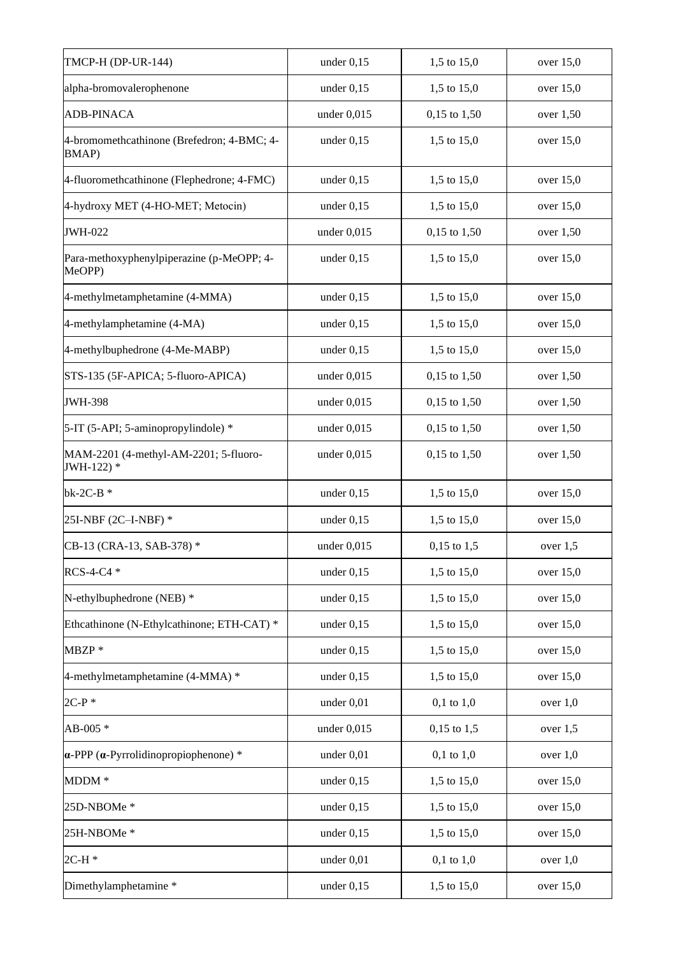| <b>TMCP-H (DP-UR-144)</b>                                   | under $0,15$  | 1,5 to 15,0    | over $15,0$ |
|-------------------------------------------------------------|---------------|----------------|-------------|
| alpha-bromovalerophenone                                    | under $0,15$  | 1,5 to 15,0    | over 15,0   |
| <b>ADB-PINACA</b>                                           | under $0,015$ | 0,15 to 1,50   | over 1,50   |
| 4-bromomethcathinone (Brefedron; 4-BMC; 4-<br><b>BMAP</b> ) | under $0,15$  | 1,5 to 15,0    | over $15,0$ |
| 4-fluoromethcathinone (Flephedrone; 4-FMC)                  | under $0,15$  | 1,5 to 15,0    | over 15,0   |
| 4-hydroxy MET (4-HO-MET; Metocin)                           | under $0,15$  | 1,5 to 15,0    | over $15,0$ |
| <b>JWH-022</b>                                              | under $0,015$ | 0,15 to 1,50   | over 1,50   |
| Para-methoxyphenylpiperazine (p-MeOPP; 4-<br>MeOPP)         | under $0,15$  | 1,5 to 15,0    | over $15,0$ |
| 4-methylmetamphetamine (4-MMA)                              | under $0,15$  | 1,5 to 15,0    | over $15,0$ |
| 4-methylamphetamine (4-MA)                                  | under $0,15$  | 1,5 to 15,0    | over 15,0   |
| 4-methylbuphedrone (4-Me-MABP)                              | under $0,15$  | 1,5 to 15,0    | over $15,0$ |
| STS-135 (5F-APICA; 5-fluoro-APICA)                          | under $0,015$ | 0,15 to 1,50   | over 1,50   |
| <b>JWH-398</b>                                              | under $0,015$ | 0,15 to 1,50   | over $1,50$ |
| 5-IT (5-API; 5-aminopropylindole) *                         | under $0,015$ | 0,15 to 1,50   | over $1,50$ |
| MAM-2201 (4-methyl-AM-2201; 5-fluoro-<br>JWH-122) *         | under $0,015$ | 0,15 to 1,50   | over 1,50   |
| $bk-2C-B*$                                                  | under $0,15$  | 1,5 to 15,0    | over $15,0$ |
| 25I-NBF (2C-I-NBF) *                                        | under $0,15$  | 1,5 to 15,0    | over $15,0$ |
| CB-13 (CRA-13, SAB-378) *                                   | under $0,015$ | $0,15$ to 1,5  | over $1,5$  |
| RCS-4-C4 *                                                  | under $0,15$  | 1,5 to 15,0    | over 15,0   |
| N-ethylbuphedrone (NEB) *                                   | under $0,15$  | 1,5 to 15,0    | over 15,0   |
| Ethcathinone (N-Ethylcathinone; ETH-CAT) *                  | under $0,15$  | 1,5 to 15,0    | over 15,0   |
| MBZP *                                                      | under $0,15$  | 1,5 to 15,0    | over 15,0   |
| 4-methylmetamphetamine (4-MMA) *                            | under $0,15$  | 1,5 to 15,0    | over $15,0$ |
| $2C-P*$                                                     | under 0,01    | $0,1$ to $1,0$ | over $1,0$  |
| AB-005 *                                                    | under $0,015$ | $0,15$ to 1,5  | over $1,5$  |
| $\alpha$ -PPP ( $\alpha$ -Pyrrolidinopropiophenone) *       | under 0,01    | $0,1$ to $1,0$ | over $1,0$  |
| $MDDM*$                                                     | under $0,15$  | 1,5 to 15,0    | over $15,0$ |
| 25D-NBOMe*                                                  | under $0,15$  | 1,5 to 15,0    | over $15,0$ |
| 25H-NBOMe*                                                  | under $0,15$  | 1,5 to 15,0    | over $15,0$ |
| $2C-H*$                                                     | under $0,01$  | $0,1$ to $1,0$ | over $1,0$  |
| Dimethylamphetamine *                                       | under $0,15$  | 1,5 to 15,0    | over $15,0$ |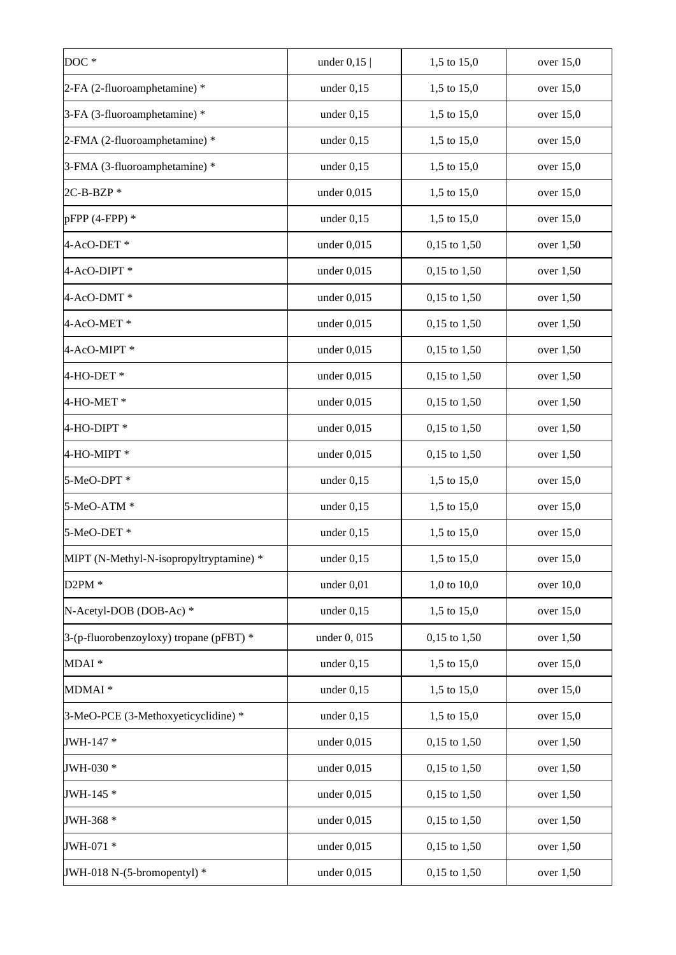| DOC*                                    | under $0,15$  | 1,5 to 15,0      | over $15,0$ |
|-----------------------------------------|---------------|------------------|-------------|
| 2-FA (2-fluoroamphetamine) *            | under $0,15$  | 1,5 to 15,0      | over $15,0$ |
| 3-FA (3-fluoroamphetamine) *            | under $0,15$  | 1,5 to 15,0      | over $15,0$ |
| 2-FMA (2-fluoroamphetamine) *           | under $0,15$  | 1,5 to 15,0      | over $15,0$ |
| 3-FMA (3-fluoroamphetamine) *           | under $0,15$  | 1,5 to 15,0      | over $15,0$ |
| $2C-B-BZP*$                             | under $0,015$ | 1,5 to 15,0      | over $15,0$ |
| $pFPP(4-FPP)*$                          | under $0,15$  | 1,5 to 15,0      | over $15,0$ |
| 4-AcO-DET*                              | under $0,015$ | $0,15$ to $1,50$ | over 1,50   |
| 4-AcO-DIPT*                             | under $0,015$ | $0,15$ to $1,50$ | over 1,50   |
| 4-AcO-DMT*                              | under 0,015   | $0,15$ to $1,50$ | over 1,50   |
| 4-AcO-MET*                              | under 0,015   | $0,15$ to $1,50$ | over 1,50   |
| 4-AcO-MIPT*                             | under $0,015$ | $0,15$ to $1,50$ | over 1,50   |
| 4-HO-DET*                               | under $0,015$ | 0,15 to 1,50     | over 1,50   |
| 4-HO-MET*                               | under $0,015$ | $0,15$ to $1,50$ | over $1,50$ |
| 4-HO-DIPT *                             | under $0,015$ | $0,15$ to $1,50$ | over $1,50$ |
| 4-HO-MIPT *                             | under $0,015$ | $0,15$ to $1,50$ | over 1,50   |
| 5-MeO-DPT *                             | under $0,15$  | 1,5 to 15,0      | over $15,0$ |
| 5-MeO-ATM *                             | under $0,15$  | 1,5 to 15,0      | over $15,0$ |
| 5-MeO-DET*                              | under $0,15$  | 1,5 to 15,0      | over $15,0$ |
| MIPT (N-Methyl-N-isopropyltryptamine) * | under $0,15$  | 1,5 to 15,0      | over 15,0   |
| $D2PM*$                                 | under 0,01    | 1,0 to 10,0      | over 10,0   |
| N-Acetyl-DOB (DOB-Ac) *                 | under $0,15$  | 1,5 to 15,0      | over 15,0   |
| 3-(p-fluorobenzoyloxy) tropane (pFBT) * | under 0, 015  | $0,15$ to $1,50$ | over 1,50   |
| MDAI <sup>*</sup>                       | under $0,15$  | 1,5 to 15,0      | over $15,0$ |
| MDMAI <sup>*</sup>                      | under $0,15$  | 1,5 to 15,0      | over 15,0   |
| 3-MeO-PCE (3-Methoxyeticyclidine) *     | under $0,15$  | 1,5 to 15,0      | over $15,0$ |
| JWH-147 *                               | under $0,015$ | $0,15$ to $1,50$ | over $1,50$ |
| JWH-030 *                               | under $0,015$ | $0,15$ to $1,50$ | over $1,50$ |
| JWH-145 *                               | under $0,015$ | $0,15$ to $1,50$ | over $1,50$ |
| JWH-368 *                               | under $0,015$ | $0,15$ to $1,50$ | over $1,50$ |
| JWH-071 *                               | under $0,015$ | $0,15$ to $1,50$ | over $1,50$ |
| JWH-018 N-(5-bromopentyl) *             | under $0,015$ | $0,15$ to $1,50$ | over $1,50$ |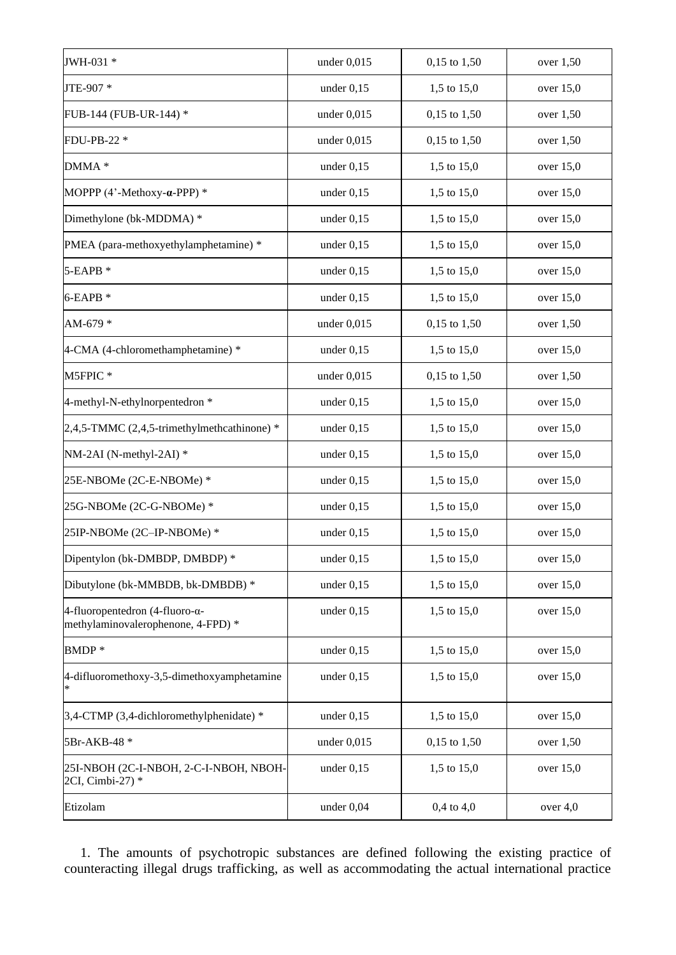| JWH-031 *                                                                     | under $0,015$ | 0,15 to 1,50   | over 1,50   |
|-------------------------------------------------------------------------------|---------------|----------------|-------------|
| JTE-907 *                                                                     | under $0,15$  | 1,5 to 15,0    | over $15,0$ |
| FUB-144 (FUB-UR-144) *                                                        | under $0,015$ | 0,15 to 1,50   | over $1,50$ |
| FDU-PB-22 *                                                                   | under $0,015$ | 0,15 to 1,50   | over 1,50   |
| DMMA *                                                                        | under $0,15$  | 1,5 to 15,0    | over $15,0$ |
| MOPPP (4'-Methoxy-a-PPP) *                                                    | under $0,15$  | 1,5 to 15,0    | over $15,0$ |
| Dimethylone (bk-MDDMA) *                                                      | under $0,15$  | 1,5 to 15,0    | over $15,0$ |
| PMEA (para-methoxyethylamphetamine) *                                         | under $0,15$  | 1,5 to 15,0    | over $15,0$ |
| 5-EAPB *                                                                      | under $0,15$  | 1,5 to 15,0    | over $15,0$ |
| $6$ -EAPB $*$                                                                 | under $0,15$  | 1,5 to 15,0    | over $15,0$ |
| AM-679 *                                                                      | under $0,015$ | 0,15 to 1,50   | over $1,50$ |
| 4-CMA (4-chloromethamphetamine) *                                             | under $0,15$  | 1,5 to 15,0    | over $15,0$ |
| M5FPIC*                                                                       | under $0,015$ | 0,15 to 1,50   | over $1,50$ |
| 4-methyl-N-ethylnorpentedron *                                                | under $0,15$  | 1,5 to 15,0    | over $15,0$ |
| $2,4,5$ -TMMC (2,4,5-trimethylmethcathinone) *                                | under $0,15$  | 1,5 to 15,0    | over $15,0$ |
| NM-2AI (N-methyl-2AI) *                                                       | under $0,15$  | 1,5 to 15,0    | over $15,0$ |
| 25E-NBOMe (2C-E-NBOMe) *                                                      | under $0,15$  | 1,5 to 15,0    | over $15,0$ |
| 25G-NBOMe (2C-G-NBOMe) *                                                      | under $0,15$  | 1,5 to 15,0    | over $15,0$ |
| 25IP-NBOMe (2C-IP-NBOMe) *                                                    | under $0,15$  | 1,5 to 15,0    | over $15,0$ |
| Dipentylon (bk-DMBDP, DMBDP) *                                                | under $0,15$  | 1,5 to 15,0    | over $15,0$ |
| Dibutylone (bk-MMBDB, bk-DMBDB) *                                             | under $0,15$  | 1,5 to 15,0    | over $15,0$ |
| 4-fluoropentedron (4-fluoro- $\alpha$ -<br>methylaminovalerophenone, 4-FPD) * | under $0,15$  | 1,5 to 15,0    | over $15,0$ |
| BMDP*                                                                         | under $0,15$  | 1,5 to 15,0    | over $15,0$ |
| 4-difluoromethoxy-3,5-dimethoxyamphetamine                                    | under $0,15$  | 1,5 to 15,0    | over $15,0$ |
| 3,4-CTMP (3,4-dichloromethylphenidate) *                                      | under $0,15$  | 1,5 to 15,0    | over $15,0$ |
| 5Br-AKB-48 *                                                                  | under $0,015$ | 0,15 to 1,50   | over $1,50$ |
| 25I-NBOH (2C-I-NBOH, 2-C-I-NBOH, NBOH-<br>2CI, Cimbi-27) *                    | under $0,15$  | 1,5 to 15,0    | over $15,0$ |
| Etizolam                                                                      | under $0,04$  | $0,4$ to $4,0$ | over $4,0$  |

1. The amounts of psychotropic substances are defined following the existing practice of counteracting illegal drugs trafficking, as well as accommodating the actual international practice